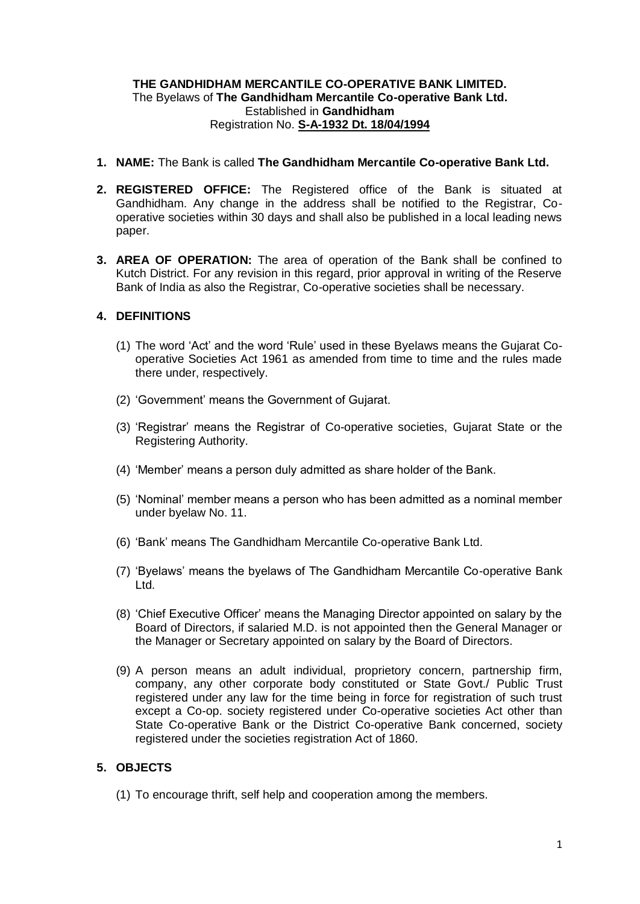## **THE GANDHIDHAM MERCANTILE CO-OPERATIVE BANK LIMITED.** The Byelaws of **The Gandhidham Mercantile Co-operative Bank Ltd.** Established in **Gandhidham** Registration No. **S-A-1932 Dt. 18/04/1994**

- **1. NAME:** The Bank is called **The Gandhidham Mercantile Co-operative Bank Ltd.**
- **2. REGISTERED OFFICE:** The Registered office of the Bank is situated at Gandhidham. Any change in the address shall be notified to the Registrar, Cooperative societies within 30 days and shall also be published in a local leading news paper.
- **3. AREA OF OPERATION:** The area of operation of the Bank shall be confined to Kutch District. For any revision in this regard, prior approval in writing of the Reserve Bank of India as also the Registrar, Co-operative societies shall be necessary.

## **4. DEFINITIONS**

- (1) The word 'Act' and the word 'Rule' used in these Byelaws means the Gujarat Cooperative Societies Act 1961 as amended from time to time and the rules made there under, respectively.
- (2) 'Government' means the Government of Gujarat.
- (3) 'Registrar' means the Registrar of Co-operative societies, Gujarat State or the Registering Authority.
- (4) 'Member' means a person duly admitted as share holder of the Bank.
- (5) 'Nominal' member means a person who has been admitted as a nominal member under byelaw No. 11.
- (6) 'Bank' means The Gandhidham Mercantile Co-operative Bank Ltd.
- (7) 'Byelaws' means the byelaws of The Gandhidham Mercantile Co-operative Bank Ltd.
- (8) 'Chief Executive Officer' means the Managing Director appointed on salary by the Board of Directors, if salaried M.D. is not appointed then the General Manager or the Manager or Secretary appointed on salary by the Board of Directors.
- (9) A person means an adult individual, proprietory concern, partnership firm, company, any other corporate body constituted or State Govt./ Public Trust registered under any law for the time being in force for registration of such trust except a Co-op. society registered under Co-operative societies Act other than State Co-operative Bank or the District Co-operative Bank concerned, society registered under the societies registration Act of 1860.

## **5. OBJECTS**

(1) To encourage thrift, self help and cooperation among the members.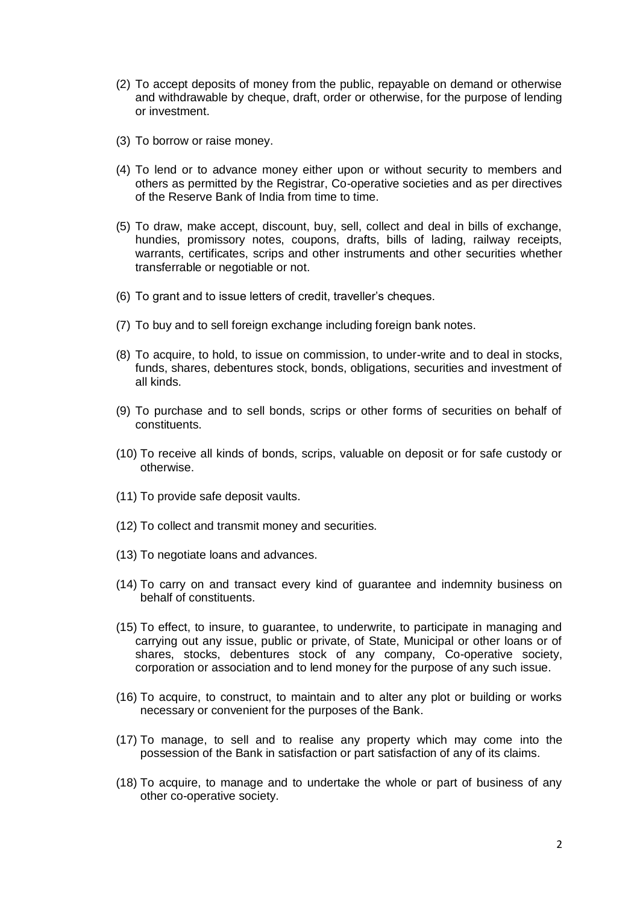- (2) To accept deposits of money from the public, repayable on demand or otherwise and withdrawable by cheque, draft, order or otherwise, for the purpose of lending or investment.
- (3) To borrow or raise money.
- (4) To lend or to advance money either upon or without security to members and others as permitted by the Registrar, Co-operative societies and as per directives of the Reserve Bank of India from time to time.
- (5) To draw, make accept, discount, buy, sell, collect and deal in bills of exchange, hundies, promissory notes, coupons, drafts, bills of lading, railway receipts, warrants, certificates, scrips and other instruments and other securities whether transferrable or negotiable or not.
- (6) To grant and to issue letters of credit, traveller's cheques.
- (7) To buy and to sell foreign exchange including foreign bank notes.
- (8) To acquire, to hold, to issue on commission, to under-write and to deal in stocks, funds, shares, debentures stock, bonds, obligations, securities and investment of all kinds.
- (9) To purchase and to sell bonds, scrips or other forms of securities on behalf of constituents.
- (10) To receive all kinds of bonds, scrips, valuable on deposit or for safe custody or otherwise.
- (11) To provide safe deposit vaults.
- (12) To collect and transmit money and securities.
- (13) To negotiate loans and advances.
- (14) To carry on and transact every kind of guarantee and indemnity business on behalf of constituents.
- (15) To effect, to insure, to guarantee, to underwrite, to participate in managing and carrying out any issue, public or private, of State, Municipal or other loans or of shares, stocks, debentures stock of any company, Co-operative society, corporation or association and to lend money for the purpose of any such issue.
- (16) To acquire, to construct, to maintain and to alter any plot or building or works necessary or convenient for the purposes of the Bank.
- (17) To manage, to sell and to realise any property which may come into the possession of the Bank in satisfaction or part satisfaction of any of its claims.
- (18) To acquire, to manage and to undertake the whole or part of business of any other co-operative society.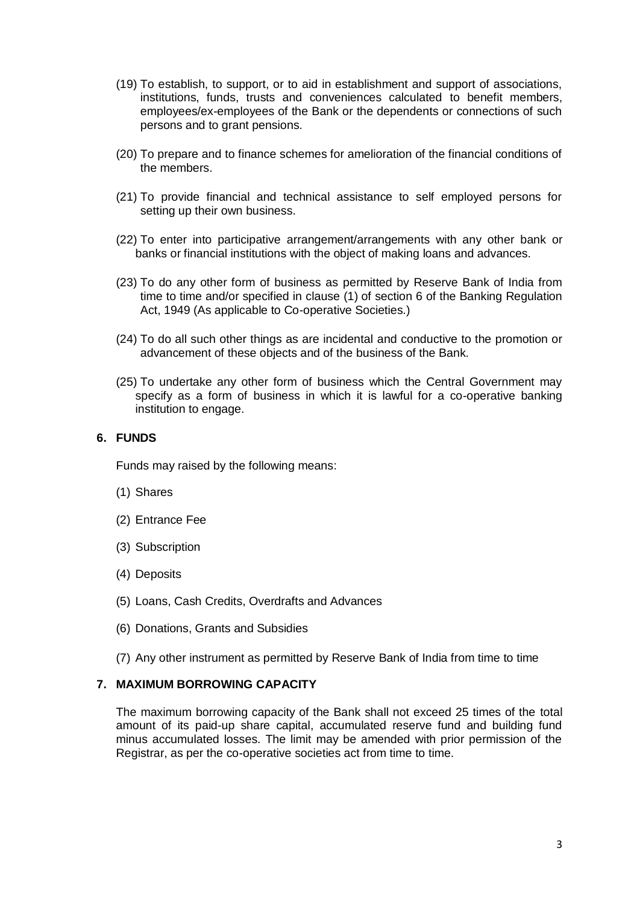- (19) To establish, to support, or to aid in establishment and support of associations, institutions, funds, trusts and conveniences calculated to benefit members, employees/ex-employees of the Bank or the dependents or connections of such persons and to grant pensions.
- (20) To prepare and to finance schemes for amelioration of the financial conditions of the members.
- (21) To provide financial and technical assistance to self employed persons for setting up their own business.
- (22) To enter into participative arrangement/arrangements with any other bank or banks or financial institutions with the object of making loans and advances.
- (23) To do any other form of business as permitted by Reserve Bank of India from time to time and/or specified in clause (1) of section 6 of the Banking Regulation Act, 1949 (As applicable to Co-operative Societies.)
- (24) To do all such other things as are incidental and conductive to the promotion or advancement of these objects and of the business of the Bank.
- (25) To undertake any other form of business which the Central Government may specify as a form of business in which it is lawful for a co-operative banking institution to engage.

### **6. FUNDS**

Funds may raised by the following means:

- (1) Shares
- (2) Entrance Fee
- (3) Subscription
- (4) Deposits
- (5) Loans, Cash Credits, Overdrafts and Advances
- (6) Donations, Grants and Subsidies
- (7) Any other instrument as permitted by Reserve Bank of India from time to time

#### **7. MAXIMUM BORROWING CAPACITY**

The maximum borrowing capacity of the Bank shall not exceed 25 times of the total amount of its paid-up share capital, accumulated reserve fund and building fund minus accumulated losses. The limit may be amended with prior permission of the Registrar, as per the co-operative societies act from time to time.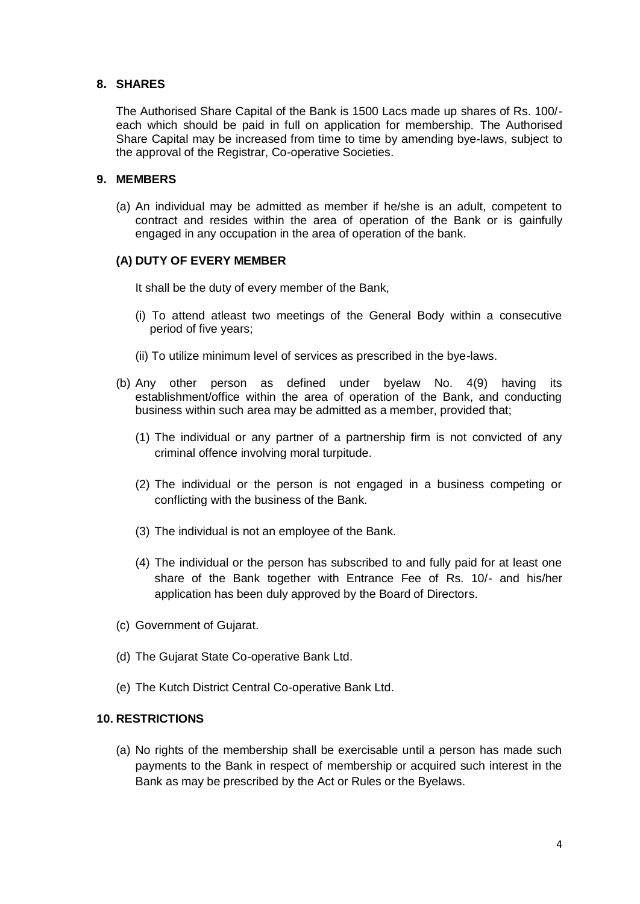### **8. SHARES**

The Authorised Share Capital of the Bank is 1500 Lacs made up shares of Rs. 100/ each which should be paid in full on application for membership. The Authorised Share Capital may be increased from time to time by amending bye-laws, subject to the approval of the Registrar, Co-operative Societies.

## **9. MEMBERS**

(a) An individual may be admitted as member if he/she is an adult, competent to contract and resides within the area of operation of the Bank or is gainfully engaged in any occupation in the area of operation of the bank.

## **(A) DUTY OF EVERY MEMBER**

It shall be the duty of every member of the Bank,

- (i) To attend atleast two meetings of the General Body within a consecutive period of five years;
- (ii) To utilize minimum level of services as prescribed in the bye-laws.
- (b) Any other person as defined under byelaw No. 4(9) having its establishment/office within the area of operation of the Bank, and conducting business within such area may be admitted as a member, provided that;
	- (1) The individual or any partner of a partnership firm is not convicted of any criminal offence involving moral turpitude.
	- (2) The individual or the person is not engaged in a business competing or conflicting with the business of the Bank.
	- (3) The individual is not an employee of the Bank.
	- (4) The individual or the person has subscribed to and fully paid for at least one share of the Bank together with Entrance Fee of Rs. 10/- and his/her application has been duly approved by the Board of Directors.
- (c) Government of Gujarat.
- (d) The Gujarat State Co-operative Bank Ltd.
- (e) The Kutch District Central Co-operative Bank Ltd.

#### **10. RESTRICTIONS**

(a) No rights of the membership shall be exercisable until a person has made such payments to the Bank in respect of membership or acquired such interest in the Bank as may be prescribed by the Act or Rules or the Byelaws.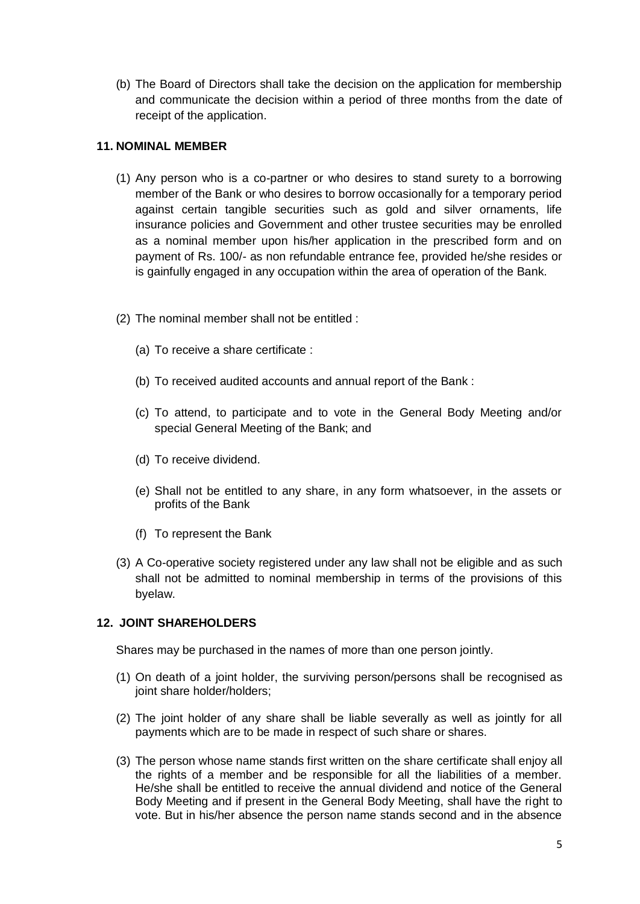(b) The Board of Directors shall take the decision on the application for membership and communicate the decision within a period of three months from the date of receipt of the application.

# **11. NOMINAL MEMBER**

- (1) Any person who is a co-partner or who desires to stand surety to a borrowing member of the Bank or who desires to borrow occasionally for a temporary period against certain tangible securities such as gold and silver ornaments, life insurance policies and Government and other trustee securities may be enrolled as a nominal member upon his/her application in the prescribed form and on payment of Rs. 100/- as non refundable entrance fee, provided he/she resides or is gainfully engaged in any occupation within the area of operation of the Bank.
- (2) The nominal member shall not be entitled :
	- (a) To receive a share certificate :
	- (b) To received audited accounts and annual report of the Bank :
	- (c) To attend, to participate and to vote in the General Body Meeting and/or special General Meeting of the Bank; and
	- (d) To receive dividend.
	- (e) Shall not be entitled to any share, in any form whatsoever, in the assets or profits of the Bank
	- (f) To represent the Bank
- (3) A Co-operative society registered under any law shall not be eligible and as such shall not be admitted to nominal membership in terms of the provisions of this byelaw.

## **12. JOINT SHAREHOLDERS**

Shares may be purchased in the names of more than one person jointly.

- (1) On death of a joint holder, the surviving person/persons shall be recognised as joint share holder/holders;
- (2) The joint holder of any share shall be liable severally as well as jointly for all payments which are to be made in respect of such share or shares.
- (3) The person whose name stands first written on the share certificate shall enjoy all the rights of a member and be responsible for all the liabilities of a member. He/she shall be entitled to receive the annual dividend and notice of the General Body Meeting and if present in the General Body Meeting, shall have the right to vote. But in his/her absence the person name stands second and in the absence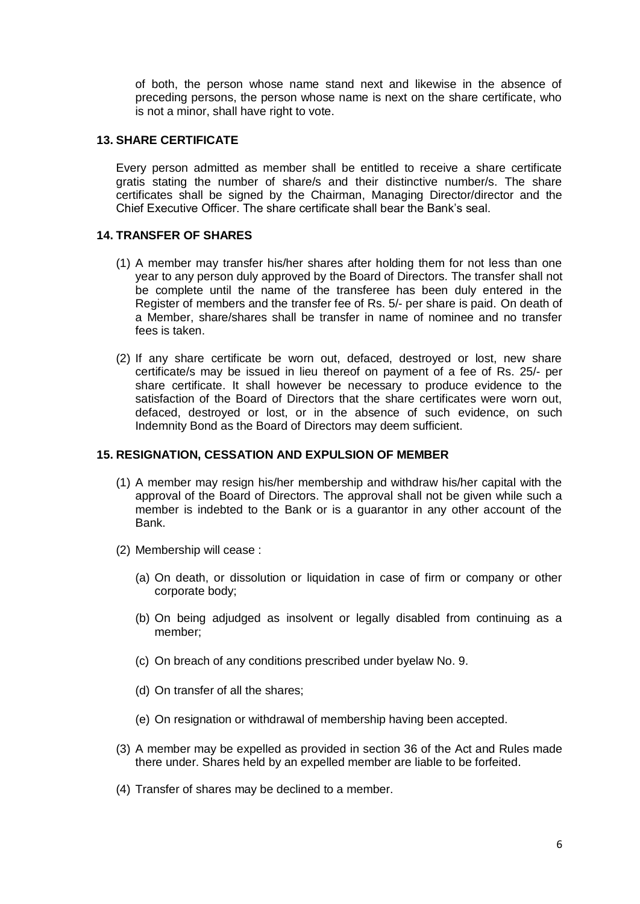of both, the person whose name stand next and likewise in the absence of preceding persons, the person whose name is next on the share certificate, who is not a minor, shall have right to vote.

### **13. SHARE CERTIFICATE**

Every person admitted as member shall be entitled to receive a share certificate gratis stating the number of share/s and their distinctive number/s. The share certificates shall be signed by the Chairman, Managing Director/director and the Chief Executive Officer. The share certificate shall bear the Bank's seal.

### **14. TRANSFER OF SHARES**

- (1) A member may transfer his/her shares after holding them for not less than one year to any person duly approved by the Board of Directors. The transfer shall not be complete until the name of the transferee has been duly entered in the Register of members and the transfer fee of Rs. 5/- per share is paid. On death of a Member, share/shares shall be transfer in name of nominee and no transfer fees is taken.
- (2) If any share certificate be worn out, defaced, destroyed or lost, new share certificate/s may be issued in lieu thereof on payment of a fee of Rs. 25/- per share certificate. It shall however be necessary to produce evidence to the satisfaction of the Board of Directors that the share certificates were worn out, defaced, destroyed or lost, or in the absence of such evidence, on such Indemnity Bond as the Board of Directors may deem sufficient.

#### **15. RESIGNATION, CESSATION AND EXPULSION OF MEMBER**

- (1) A member may resign his/her membership and withdraw his/her capital with the approval of the Board of Directors. The approval shall not be given while such a member is indebted to the Bank or is a guarantor in any other account of the Bank.
- (2) Membership will cease :
	- (a) On death, or dissolution or liquidation in case of firm or company or other corporate body;
	- (b) On being adjudged as insolvent or legally disabled from continuing as a member;
	- (c) On breach of any conditions prescribed under byelaw No. 9.
	- (d) On transfer of all the shares;
	- (e) On resignation or withdrawal of membership having been accepted.
- (3) A member may be expelled as provided in section 36 of the Act and Rules made there under. Shares held by an expelled member are liable to be forfeited.
- (4) Transfer of shares may be declined to a member.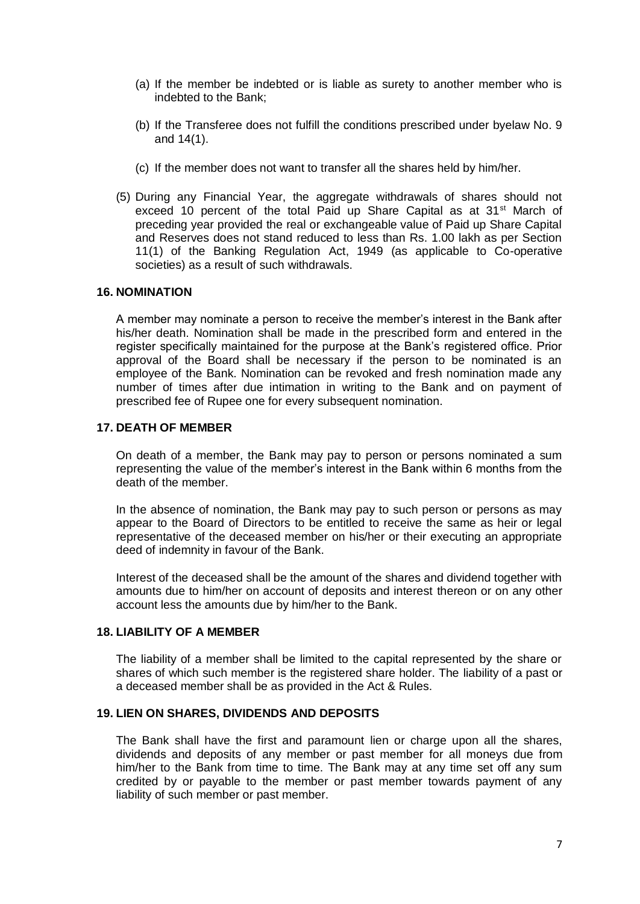- (a) If the member be indebted or is liable as surety to another member who is indebted to the Bank;
- (b) If the Transferee does not fulfill the conditions prescribed under byelaw No. 9 and 14(1).
- (c) If the member does not want to transfer all the shares held by him/her.
- (5) During any Financial Year, the aggregate withdrawals of shares should not exceed 10 percent of the total Paid up Share Capital as at 31<sup>st</sup> March of preceding year provided the real or exchangeable value of Paid up Share Capital and Reserves does not stand reduced to less than Rs. 1.00 lakh as per Section 11(1) of the Banking Regulation Act, 1949 (as applicable to Co-operative societies) as a result of such withdrawals.

### **16. NOMINATION**

A member may nominate a person to receive the member's interest in the Bank after his/her death. Nomination shall be made in the prescribed form and entered in the register specifically maintained for the purpose at the Bank's registered office. Prior approval of the Board shall be necessary if the person to be nominated is an employee of the Bank. Nomination can be revoked and fresh nomination made any number of times after due intimation in writing to the Bank and on payment of prescribed fee of Rupee one for every subsequent nomination.

#### **17. DEATH OF MEMBER**

On death of a member, the Bank may pay to person or persons nominated a sum representing the value of the member's interest in the Bank within 6 months from the death of the member.

In the absence of nomination, the Bank may pay to such person or persons as may appear to the Board of Directors to be entitled to receive the same as heir or legal representative of the deceased member on his/her or their executing an appropriate deed of indemnity in favour of the Bank.

Interest of the deceased shall be the amount of the shares and dividend together with amounts due to him/her on account of deposits and interest thereon or on any other account less the amounts due by him/her to the Bank.

## **18. LIABILITY OF A MEMBER**

The liability of a member shall be limited to the capital represented by the share or shares of which such member is the registered share holder. The liability of a past or a deceased member shall be as provided in the Act & Rules.

## **19. LIEN ON SHARES, DIVIDENDS AND DEPOSITS**

The Bank shall have the first and paramount lien or charge upon all the shares, dividends and deposits of any member or past member for all moneys due from him/her to the Bank from time to time. The Bank may at any time set off any sum credited by or payable to the member or past member towards payment of any liability of such member or past member.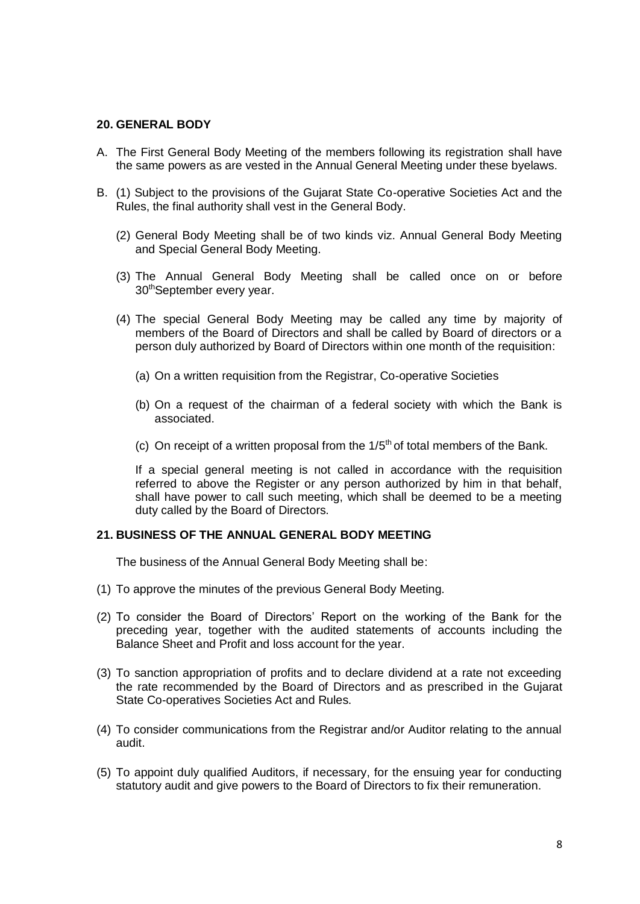#### **20. GENERAL BODY**

- A. The First General Body Meeting of the members following its registration shall have the same powers as are vested in the Annual General Meeting under these byelaws.
- B. (1) Subject to the provisions of the Gujarat State Co-operative Societies Act and the Rules, the final authority shall vest in the General Body.
	- (2) General Body Meeting shall be of two kinds viz. Annual General Body Meeting and Special General Body Meeting.
	- (3) The Annual General Body Meeting shall be called once on or before 30thSeptember every year.
	- (4) The special General Body Meeting may be called any time by majority of members of the Board of Directors and shall be called by Board of directors or a person duly authorized by Board of Directors within one month of the requisition:
		- (a) On a written requisition from the Registrar, Co-operative Societies
		- (b) On a request of the chairman of a federal society with which the Bank is associated.
		- (c) On receipt of a written proposal from the  $1/5<sup>th</sup>$  of total members of the Bank.

If a special general meeting is not called in accordance with the requisition referred to above the Register or any person authorized by him in that behalf, shall have power to call such meeting, which shall be deemed to be a meeting duty called by the Board of Directors.

#### **21. BUSINESS OF THE ANNUAL GENERAL BODY MEETING**

The business of the Annual General Body Meeting shall be:

- (1) To approve the minutes of the previous General Body Meeting.
- (2) To consider the Board of Directors' Report on the working of the Bank for the preceding year, together with the audited statements of accounts including the Balance Sheet and Profit and loss account for the year.
- (3) To sanction appropriation of profits and to declare dividend at a rate not exceeding the rate recommended by the Board of Directors and as prescribed in the Gujarat State Co-operatives Societies Act and Rules.
- (4) To consider communications from the Registrar and/or Auditor relating to the annual audit.
- (5) To appoint duly qualified Auditors, if necessary, for the ensuing year for conducting statutory audit and give powers to the Board of Directors to fix their remuneration.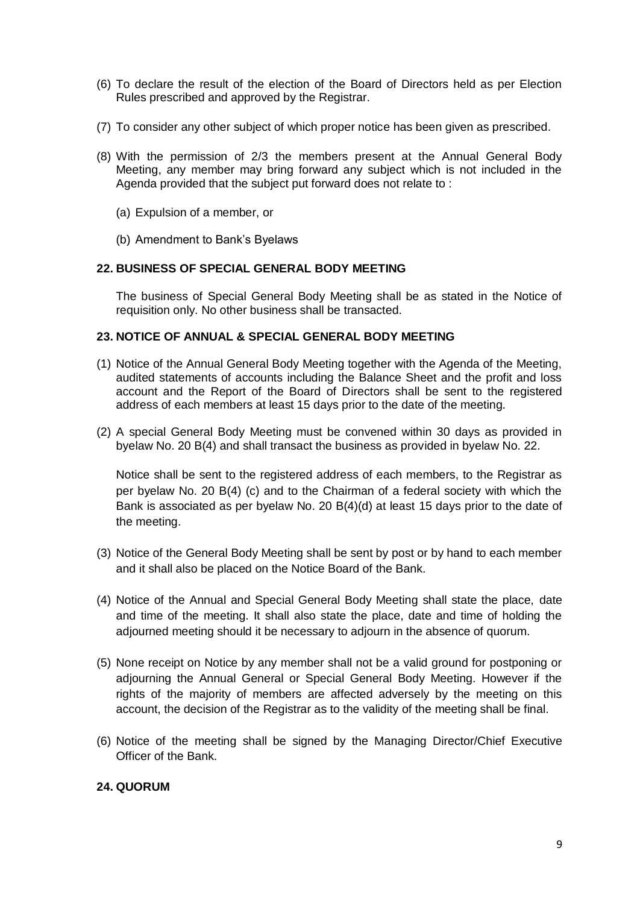- (6) To declare the result of the election of the Board of Directors held as per Election Rules prescribed and approved by the Registrar.
- (7) To consider any other subject of which proper notice has been given as prescribed.
- (8) With the permission of 2/3 the members present at the Annual General Body Meeting, any member may bring forward any subject which is not included in the Agenda provided that the subject put forward does not relate to :
	- (a) Expulsion of a member, or
	- (b) Amendment to Bank's Byelaws

## **22. BUSINESS OF SPECIAL GENERAL BODY MEETING**

The business of Special General Body Meeting shall be as stated in the Notice of requisition only. No other business shall be transacted.

### **23. NOTICE OF ANNUAL & SPECIAL GENERAL BODY MEETING**

- (1) Notice of the Annual General Body Meeting together with the Agenda of the Meeting, audited statements of accounts including the Balance Sheet and the profit and loss account and the Report of the Board of Directors shall be sent to the registered address of each members at least 15 days prior to the date of the meeting.
- (2) A special General Body Meeting must be convened within 30 days as provided in byelaw No. 20 B(4) and shall transact the business as provided in byelaw No. 22.

Notice shall be sent to the registered address of each members, to the Registrar as per byelaw No. 20 B(4) (c) and to the Chairman of a federal society with which the Bank is associated as per byelaw No. 20 B(4)(d) at least 15 days prior to the date of the meeting.

- (3) Notice of the General Body Meeting shall be sent by post or by hand to each member and it shall also be placed on the Notice Board of the Bank.
- (4) Notice of the Annual and Special General Body Meeting shall state the place, date and time of the meeting. It shall also state the place, date and time of holding the adjourned meeting should it be necessary to adjourn in the absence of quorum.
- (5) None receipt on Notice by any member shall not be a valid ground for postponing or adjourning the Annual General or Special General Body Meeting. However if the rights of the majority of members are affected adversely by the meeting on this account, the decision of the Registrar as to the validity of the meeting shall be final.
- (6) Notice of the meeting shall be signed by the Managing Director/Chief Executive Officer of the Bank.

## **24. QUORUM**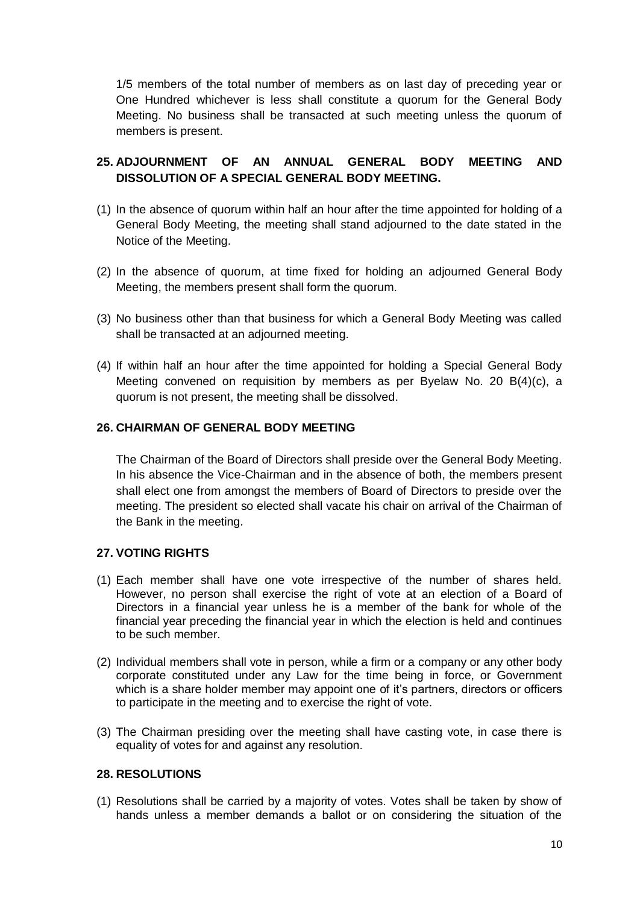1/5 members of the total number of members as on last day of preceding year or One Hundred whichever is less shall constitute a quorum for the General Body Meeting. No business shall be transacted at such meeting unless the quorum of members is present.

# **25. ADJOURNMENT OF AN ANNUAL GENERAL BODY MEETING AND DISSOLUTION OF A SPECIAL GENERAL BODY MEETING.**

- (1) In the absence of quorum within half an hour after the time appointed for holding of a General Body Meeting, the meeting shall stand adjourned to the date stated in the Notice of the Meeting.
- (2) In the absence of quorum, at time fixed for holding an adjourned General Body Meeting, the members present shall form the quorum.
- (3) No business other than that business for which a General Body Meeting was called shall be transacted at an adjourned meeting.
- (4) If within half an hour after the time appointed for holding a Special General Body Meeting convened on requisition by members as per Byelaw No. 20 B(4)(c), a quorum is not present, the meeting shall be dissolved.

### **26. CHAIRMAN OF GENERAL BODY MEETING**

The Chairman of the Board of Directors shall preside over the General Body Meeting. In his absence the Vice-Chairman and in the absence of both, the members present shall elect one from amongst the members of Board of Directors to preside over the meeting. The president so elected shall vacate his chair on arrival of the Chairman of the Bank in the meeting.

## **27. VOTING RIGHTS**

- (1) Each member shall have one vote irrespective of the number of shares held. However, no person shall exercise the right of vote at an election of a Board of Directors in a financial year unless he is a member of the bank for whole of the financial year preceding the financial year in which the election is held and continues to be such member.
- (2) Individual members shall vote in person, while a firm or a company or any other body corporate constituted under any Law for the time being in force, or Government which is a share holder member may appoint one of it's partners, directors or officers to participate in the meeting and to exercise the right of vote.
- (3) The Chairman presiding over the meeting shall have casting vote, in case there is equality of votes for and against any resolution.

## **28. RESOLUTIONS**

(1) Resolutions shall be carried by a majority of votes. Votes shall be taken by show of hands unless a member demands a ballot or on considering the situation of the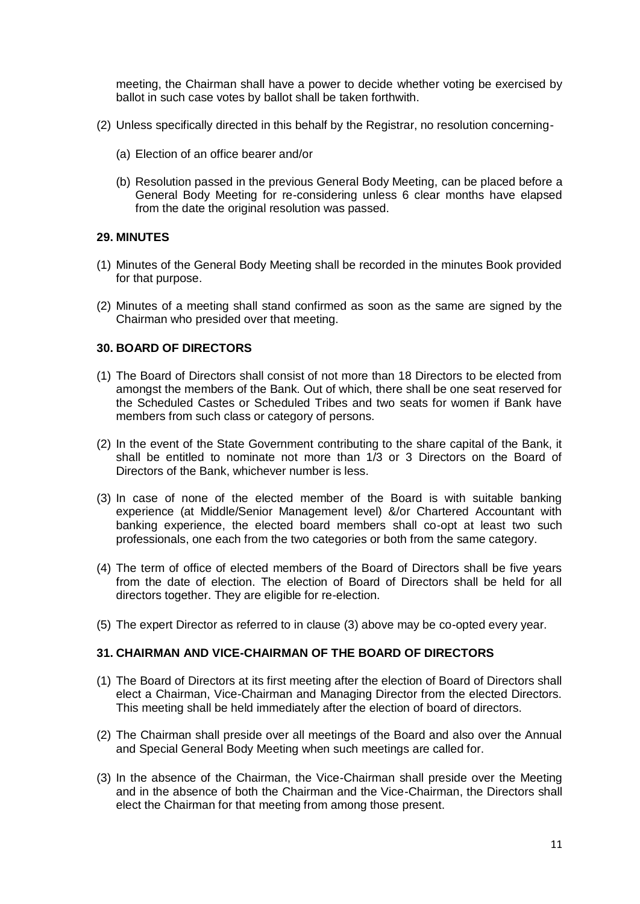meeting, the Chairman shall have a power to decide whether voting be exercised by ballot in such case votes by ballot shall be taken forthwith.

- (2) Unless specifically directed in this behalf by the Registrar, no resolution concerning-
	- (a) Election of an office bearer and/or
	- (b) Resolution passed in the previous General Body Meeting, can be placed before a General Body Meeting for re-considering unless 6 clear months have elapsed from the date the original resolution was passed.

### **29. MINUTES**

- (1) Minutes of the General Body Meeting shall be recorded in the minutes Book provided for that purpose.
- (2) Minutes of a meeting shall stand confirmed as soon as the same are signed by the Chairman who presided over that meeting.

### **30. BOARD OF DIRECTORS**

- (1) The Board of Directors shall consist of not more than 18 Directors to be elected from amongst the members of the Bank. Out of which, there shall be one seat reserved for the Scheduled Castes or Scheduled Tribes and two seats for women if Bank have members from such class or category of persons.
- (2) In the event of the State Government contributing to the share capital of the Bank, it shall be entitled to nominate not more than 1/3 or 3 Directors on the Board of Directors of the Bank, whichever number is less.
- (3) In case of none of the elected member of the Board is with suitable banking experience (at Middle/Senior Management level) &/or Chartered Accountant with banking experience, the elected board members shall co-opt at least two such professionals, one each from the two categories or both from the same category.
- (4) The term of office of elected members of the Board of Directors shall be five years from the date of election. The election of Board of Directors shall be held for all directors together. They are eligible for re-election.
- (5) The expert Director as referred to in clause (3) above may be co-opted every year.

## **31. CHAIRMAN AND VICE-CHAIRMAN OF THE BOARD OF DIRECTORS**

- (1) The Board of Directors at its first meeting after the election of Board of Directors shall elect a Chairman, Vice-Chairman and Managing Director from the elected Directors. This meeting shall be held immediately after the election of board of directors.
- (2) The Chairman shall preside over all meetings of the Board and also over the Annual and Special General Body Meeting when such meetings are called for.
- (3) In the absence of the Chairman, the Vice-Chairman shall preside over the Meeting and in the absence of both the Chairman and the Vice-Chairman, the Directors shall elect the Chairman for that meeting from among those present.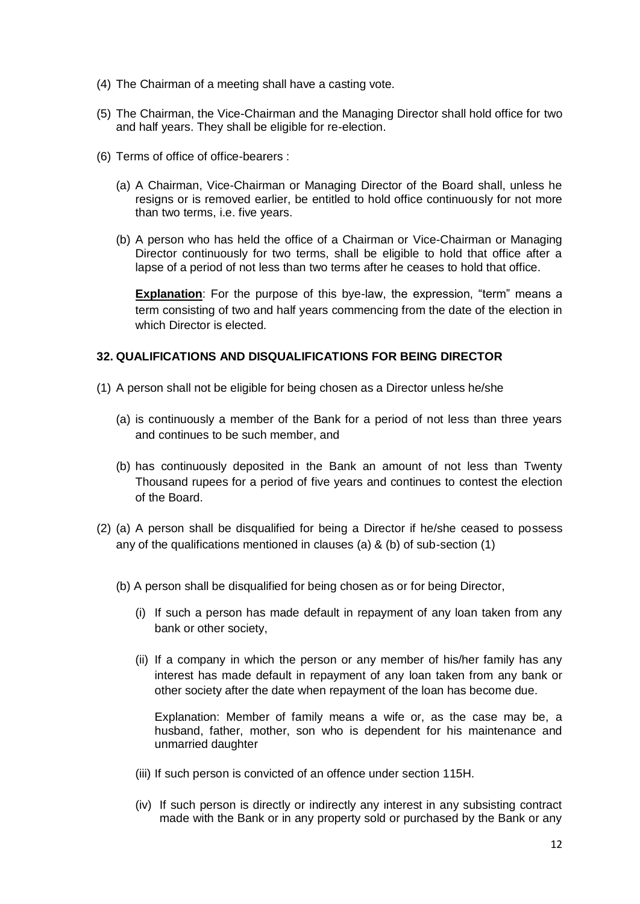- (4) The Chairman of a meeting shall have a casting vote.
- (5) The Chairman, the Vice-Chairman and the Managing Director shall hold office for two and half years. They shall be eligible for re-election.
- (6) Terms of office of office-bearers :
	- (a) A Chairman, Vice-Chairman or Managing Director of the Board shall, unless he resigns or is removed earlier, be entitled to hold office continuously for not more than two terms, i.e. five years.
	- (b) A person who has held the office of a Chairman or Vice-Chairman or Managing Director continuously for two terms, shall be eligible to hold that office after a lapse of a period of not less than two terms after he ceases to hold that office.

**Explanation**: For the purpose of this bye-law, the expression, "term" means a term consisting of two and half years commencing from the date of the election in which Director is elected.

## **32. QUALIFICATIONS AND DISQUALIFICATIONS FOR BEING DIRECTOR**

- (1) A person shall not be eligible for being chosen as a Director unless he/she
	- (a) is continuously a member of the Bank for a period of not less than three years and continues to be such member, and
	- (b) has continuously deposited in the Bank an amount of not less than Twenty Thousand rupees for a period of five years and continues to contest the election of the Board.
- (2) (a) A person shall be disqualified for being a Director if he/she ceased to possess any of the qualifications mentioned in clauses (a) & (b) of sub-section (1)
	- (b) A person shall be disqualified for being chosen as or for being Director,
		- (i) If such a person has made default in repayment of any loan taken from any bank or other society,
		- (ii) If a company in which the person or any member of his/her family has any interest has made default in repayment of any loan taken from any bank or other society after the date when repayment of the loan has become due.

Explanation: Member of family means a wife or, as the case may be, a husband, father, mother, son who is dependent for his maintenance and unmarried daughter

- (iii) If such person is convicted of an offence under section 115H.
- (iv) If such person is directly or indirectly any interest in any subsisting contract made with the Bank or in any property sold or purchased by the Bank or any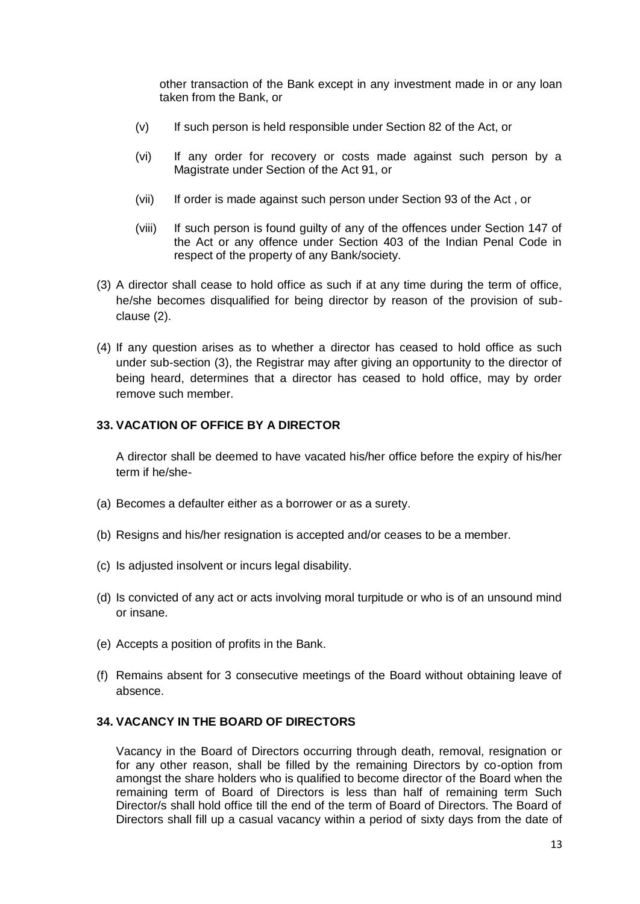other transaction of the Bank except in any investment made in or any loan taken from the Bank, or

- (v) If such person is held responsible under Section 82 of the Act, or
- (vi) If any order for recovery or costs made against such person by a Magistrate under Section of the Act 91, or
- (vii) If order is made against such person under Section 93 of the Act , or
- (viii) If such person is found guilty of any of the offences under Section 147 of the Act or any offence under Section 403 of the Indian Penal Code in respect of the property of any Bank/society.
- (3) A director shall cease to hold office as such if at any time during the term of office, he/she becomes disqualified for being director by reason of the provision of subclause (2).
- (4) If any question arises as to whether a director has ceased to hold office as such under sub-section (3), the Registrar may after giving an opportunity to the director of being heard, determines that a director has ceased to hold office, may by order remove such member.

## **33. VACATION OF OFFICE BY A DIRECTOR**

A director shall be deemed to have vacated his/her office before the expiry of his/her term if he/she-

- (a) Becomes a defaulter either as a borrower or as a surety.
- (b) Resigns and his/her resignation is accepted and/or ceases to be a member.
- (c) Is adjusted insolvent or incurs legal disability.
- (d) Is convicted of any act or acts involving moral turpitude or who is of an unsound mind or insane.
- (e) Accepts a position of profits in the Bank.
- (f) Remains absent for 3 consecutive meetings of the Board without obtaining leave of absence.

## **34. VACANCY IN THE BOARD OF DIRECTORS**

Vacancy in the Board of Directors occurring through death, removal, resignation or for any other reason, shall be filled by the remaining Directors by co-option from amongst the share holders who is qualified to become director of the Board when the remaining term of Board of Directors is less than half of remaining term Such Director/s shall hold office till the end of the term of Board of Directors. The Board of Directors shall fill up a casual vacancy within a period of sixty days from the date of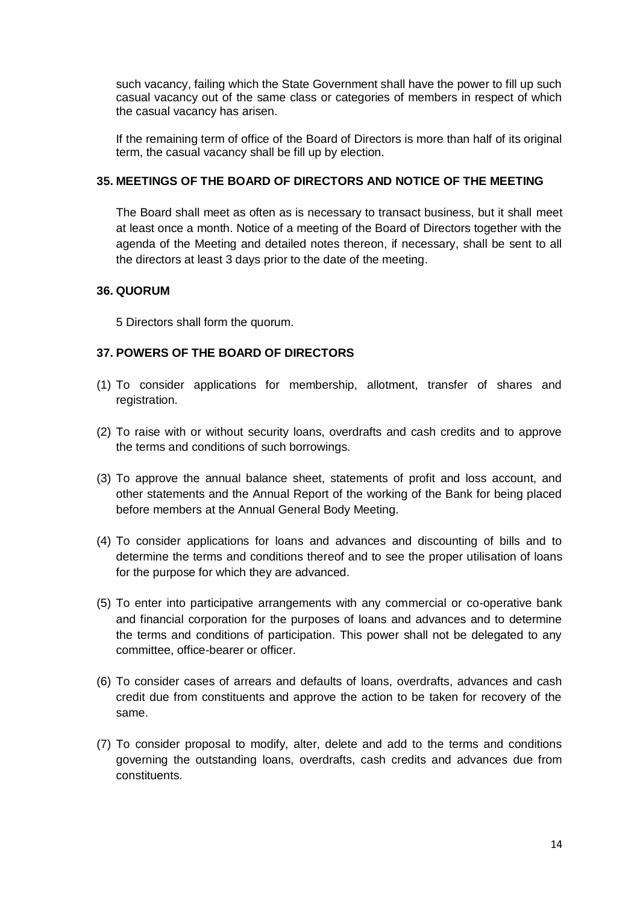such vacancy, failing which the State Government shall have the power to fill up such casual vacancy out of the same class or categories of members in respect of which the casual vacancy has arisen.

If the remaining term of office of the Board of Directors is more than half of its original term, the casual vacancy shall be fill up by election.

## **35. MEETINGS OF THE BOARD OF DIRECTORS AND NOTICE OF THE MEETING**

The Board shall meet as often as is necessary to transact business, but it shall meet at least once a month. Notice of a meeting of the Board of Directors together with the agenda of the Meeting and detailed notes thereon, if necessary, shall be sent to all the directors at least 3 days prior to the date of the meeting.

## **36. QUORUM**

5 Directors shall form the quorum.

# **37. POWERS OF THE BOARD OF DIRECTORS**

- (1) To consider applications for membership, allotment, transfer of shares and registration.
- (2) To raise with or without security loans, overdrafts and cash credits and to approve the terms and conditions of such borrowings.
- (3) To approve the annual balance sheet, statements of profit and loss account, and other statements and the Annual Report of the working of the Bank for being placed before members at the Annual General Body Meeting.
- (4) To consider applications for loans and advances and discounting of bills and to determine the terms and conditions thereof and to see the proper utilisation of loans for the purpose for which they are advanced.
- (5) To enter into participative arrangements with any commercial or co-operative bank and financial corporation for the purposes of loans and advances and to determine the terms and conditions of participation. This power shall not be delegated to any committee, office-bearer or officer.
- (6) To consider cases of arrears and defaults of loans, overdrafts, advances and cash credit due from constituents and approve the action to be taken for recovery of the same.
- (7) To consider proposal to modify, alter, delete and add to the terms and conditions governing the outstanding loans, overdrafts, cash credits and advances due from constituents.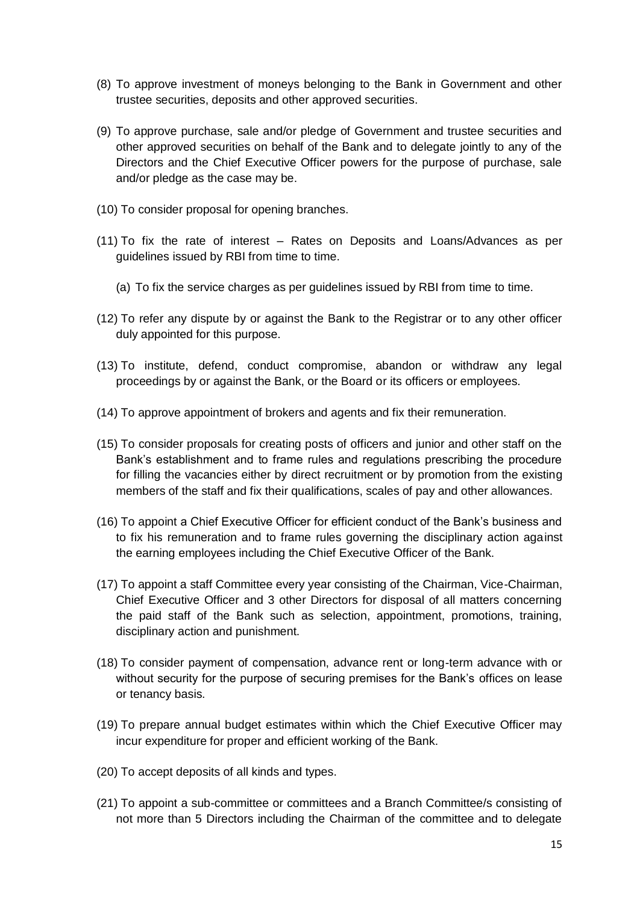- (8) To approve investment of moneys belonging to the Bank in Government and other trustee securities, deposits and other approved securities.
- (9) To approve purchase, sale and/or pledge of Government and trustee securities and other approved securities on behalf of the Bank and to delegate jointly to any of the Directors and the Chief Executive Officer powers for the purpose of purchase, sale and/or pledge as the case may be.
- (10) To consider proposal for opening branches.
- (11) To fix the rate of interest Rates on Deposits and Loans/Advances as per guidelines issued by RBI from time to time.
	- (a) To fix the service charges as per guidelines issued by RBI from time to time.
- (12) To refer any dispute by or against the Bank to the Registrar or to any other officer duly appointed for this purpose.
- (13) To institute, defend, conduct compromise, abandon or withdraw any legal proceedings by or against the Bank, or the Board or its officers or employees.
- (14) To approve appointment of brokers and agents and fix their remuneration.
- (15) To consider proposals for creating posts of officers and junior and other staff on the Bank's establishment and to frame rules and regulations prescribing the procedure for filling the vacancies either by direct recruitment or by promotion from the existing members of the staff and fix their qualifications, scales of pay and other allowances.
- (16) To appoint a Chief Executive Officer for efficient conduct of the Bank's business and to fix his remuneration and to frame rules governing the disciplinary action against the earning employees including the Chief Executive Officer of the Bank.
- (17) To appoint a staff Committee every year consisting of the Chairman, Vice-Chairman, Chief Executive Officer and 3 other Directors for disposal of all matters concerning the paid staff of the Bank such as selection, appointment, promotions, training, disciplinary action and punishment.
- (18) To consider payment of compensation, advance rent or long-term advance with or without security for the purpose of securing premises for the Bank's offices on lease or tenancy basis.
- (19) To prepare annual budget estimates within which the Chief Executive Officer may incur expenditure for proper and efficient working of the Bank.
- (20) To accept deposits of all kinds and types.
- (21) To appoint a sub-committee or committees and a Branch Committee/s consisting of not more than 5 Directors including the Chairman of the committee and to delegate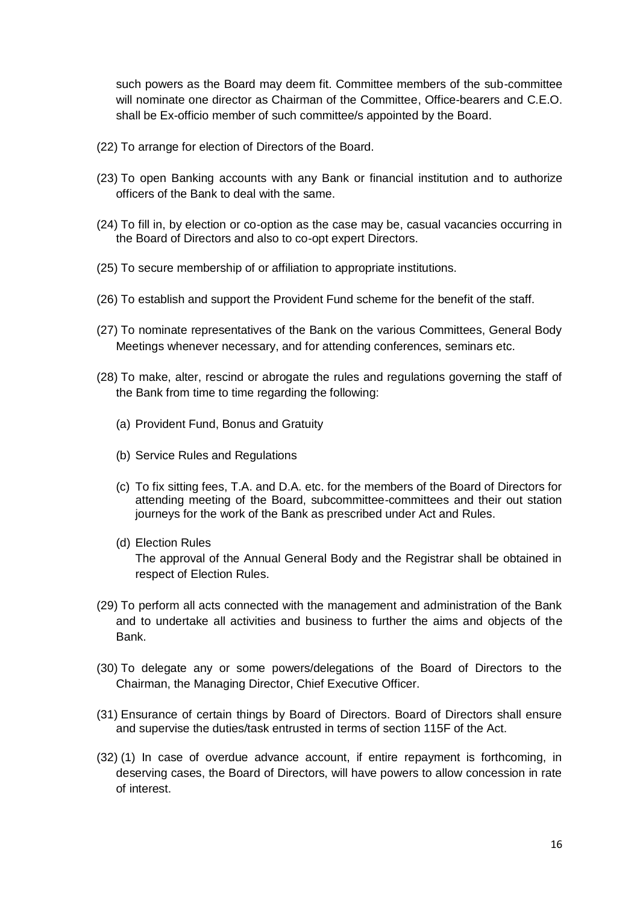such powers as the Board may deem fit. Committee members of the sub-committee will nominate one director as Chairman of the Committee, Office-bearers and C.E.O. shall be Ex-officio member of such committee/s appointed by the Board.

- (22) To arrange for election of Directors of the Board.
- (23) To open Banking accounts with any Bank or financial institution and to authorize officers of the Bank to deal with the same.
- (24) To fill in, by election or co-option as the case may be, casual vacancies occurring in the Board of Directors and also to co-opt expert Directors.
- (25) To secure membership of or affiliation to appropriate institutions.
- (26) To establish and support the Provident Fund scheme for the benefit of the staff.
- (27) To nominate representatives of the Bank on the various Committees, General Body Meetings whenever necessary, and for attending conferences, seminars etc.
- (28) To make, alter, rescind or abrogate the rules and regulations governing the staff of the Bank from time to time regarding the following:
	- (a) Provident Fund, Bonus and Gratuity
	- (b) Service Rules and Regulations
	- (c) To fix sitting fees, T.A. and D.A. etc. for the members of the Board of Directors for attending meeting of the Board, subcommittee-committees and their out station journeys for the work of the Bank as prescribed under Act and Rules.
	- (d) Election Rules The approval of the Annual General Body and the Registrar shall be obtained in respect of Election Rules.
- (29) To perform all acts connected with the management and administration of the Bank and to undertake all activities and business to further the aims and objects of the Bank.
- (30) To delegate any or some powers/delegations of the Board of Directors to the Chairman, the Managing Director, Chief Executive Officer.
- (31) Ensurance of certain things by Board of Directors. Board of Directors shall ensure and supervise the duties/task entrusted in terms of section 115F of the Act.
- (32) (1) In case of overdue advance account, if entire repayment is forthcoming, in deserving cases, the Board of Directors, will have powers to allow concession in rate of interest.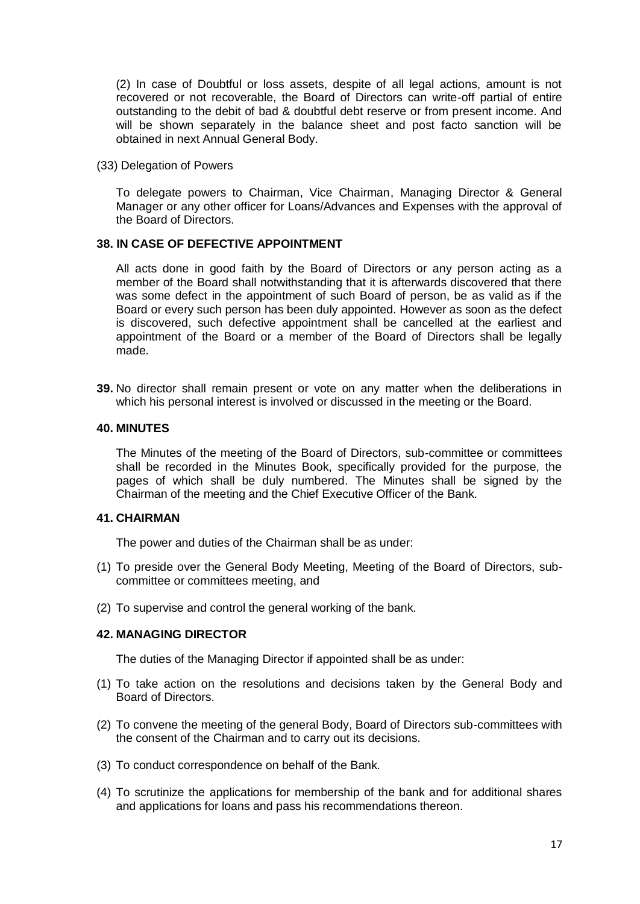(2) In case of Doubtful or loss assets, despite of all legal actions, amount is not recovered or not recoverable, the Board of Directors can write-off partial of entire outstanding to the debit of bad & doubtful debt reserve or from present income. And will be shown separately in the balance sheet and post facto sanction will be obtained in next Annual General Body.

(33) Delegation of Powers

To delegate powers to Chairman, Vice Chairman, Managing Director & General Manager or any other officer for Loans/Advances and Expenses with the approval of the Board of Directors.

### **38. IN CASE OF DEFECTIVE APPOINTMENT**

All acts done in good faith by the Board of Directors or any person acting as a member of the Board shall notwithstanding that it is afterwards discovered that there was some defect in the appointment of such Board of person, be as valid as if the Board or every such person has been duly appointed. However as soon as the defect is discovered, such defective appointment shall be cancelled at the earliest and appointment of the Board or a member of the Board of Directors shall be legally made.

**39.** No director shall remain present or vote on any matter when the deliberations in which his personal interest is involved or discussed in the meeting or the Board.

#### **40. MINUTES**

The Minutes of the meeting of the Board of Directors, sub-committee or committees shall be recorded in the Minutes Book, specifically provided for the purpose, the pages of which shall be duly numbered. The Minutes shall be signed by the Chairman of the meeting and the Chief Executive Officer of the Bank.

#### **41. CHAIRMAN**

The power and duties of the Chairman shall be as under:

- (1) To preside over the General Body Meeting, Meeting of the Board of Directors, subcommittee or committees meeting, and
- (2) To supervise and control the general working of the bank.

# **42. MANAGING DIRECTOR**

The duties of the Managing Director if appointed shall be as under:

- (1) To take action on the resolutions and decisions taken by the General Body and Board of Directors.
- (2) To convene the meeting of the general Body, Board of Directors sub-committees with the consent of the Chairman and to carry out its decisions.
- (3) To conduct correspondence on behalf of the Bank.
- (4) To scrutinize the applications for membership of the bank and for additional shares and applications for loans and pass his recommendations thereon.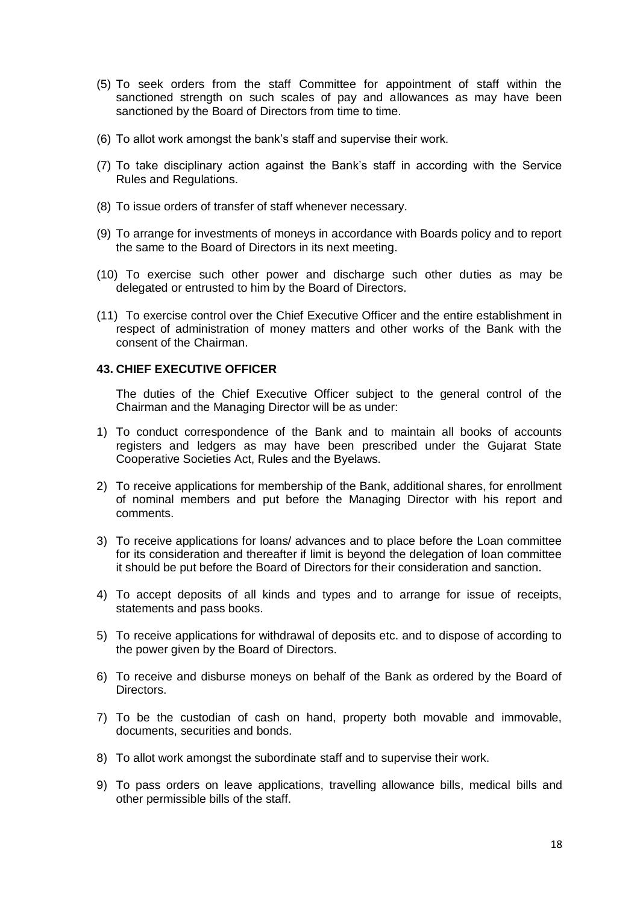- (5) To seek orders from the staff Committee for appointment of staff within the sanctioned strength on such scales of pay and allowances as may have been sanctioned by the Board of Directors from time to time.
- (6) To allot work amongst the bank's staff and supervise their work.
- (7) To take disciplinary action against the Bank's staff in according with the Service Rules and Regulations.
- (8) To issue orders of transfer of staff whenever necessary.
- (9) To arrange for investments of moneys in accordance with Boards policy and to report the same to the Board of Directors in its next meeting.
- (10) To exercise such other power and discharge such other duties as may be delegated or entrusted to him by the Board of Directors.
- (11) To exercise control over the Chief Executive Officer and the entire establishment in respect of administration of money matters and other works of the Bank with the consent of the Chairman.

## **43. CHIEF EXECUTIVE OFFICER**

The duties of the Chief Executive Officer subject to the general control of the Chairman and the Managing Director will be as under:

- 1) To conduct correspondence of the Bank and to maintain all books of accounts registers and ledgers as may have been prescribed under the Gujarat State Cooperative Societies Act, Rules and the Byelaws.
- 2) To receive applications for membership of the Bank, additional shares, for enrollment of nominal members and put before the Managing Director with his report and comments.
- 3) To receive applications for loans/ advances and to place before the Loan committee for its consideration and thereafter if limit is beyond the delegation of loan committee it should be put before the Board of Directors for their consideration and sanction.
- 4) To accept deposits of all kinds and types and to arrange for issue of receipts, statements and pass books.
- 5) To receive applications for withdrawal of deposits etc. and to dispose of according to the power given by the Board of Directors.
- 6) To receive and disburse moneys on behalf of the Bank as ordered by the Board of Directors.
- 7) To be the custodian of cash on hand, property both movable and immovable, documents, securities and bonds.
- 8) To allot work amongst the subordinate staff and to supervise their work.
- 9) To pass orders on leave applications, travelling allowance bills, medical bills and other permissible bills of the staff.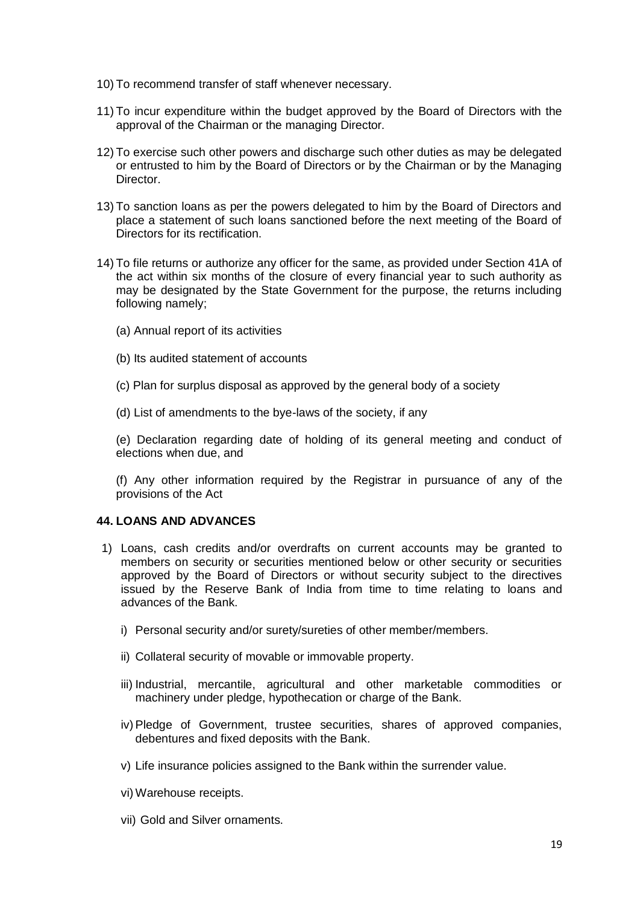- 10) To recommend transfer of staff whenever necessary.
- 11) To incur expenditure within the budget approved by the Board of Directors with the approval of the Chairman or the managing Director.
- 12) To exercise such other powers and discharge such other duties as may be delegated or entrusted to him by the Board of Directors or by the Chairman or by the Managing Director.
- 13) To sanction loans as per the powers delegated to him by the Board of Directors and place a statement of such loans sanctioned before the next meeting of the Board of Directors for its rectification.
- 14) To file returns or authorize any officer for the same, as provided under Section 41A of the act within six months of the closure of every financial year to such authority as may be designated by the State Government for the purpose, the returns including following namely;
	- (a) Annual report of its activities
	- (b) Its audited statement of accounts
	- (c) Plan for surplus disposal as approved by the general body of a society
	- (d) List of amendments to the bye-laws of the society, if any

(e) Declaration regarding date of holding of its general meeting and conduct of elections when due, and

(f) Any other information required by the Registrar in pursuance of any of the provisions of the Act

## **44. LOANS AND ADVANCES**

- 1) Loans, cash credits and/or overdrafts on current accounts may be granted to members on security or securities mentioned below or other security or securities approved by the Board of Directors or without security subject to the directives issued by the Reserve Bank of India from time to time relating to loans and advances of the Bank.
	- i) Personal security and/or surety/sureties of other member/members.
	- ii) Collateral security of movable or immovable property.
	- iii) Industrial, mercantile, agricultural and other marketable commodities or machinery under pledge, hypothecation or charge of the Bank.
	- iv) Pledge of Government, trustee securities, shares of approved companies, debentures and fixed deposits with the Bank.
	- v) Life insurance policies assigned to the Bank within the surrender value.
	- vi) Warehouse receipts.
	- vii) Gold and Silver ornaments.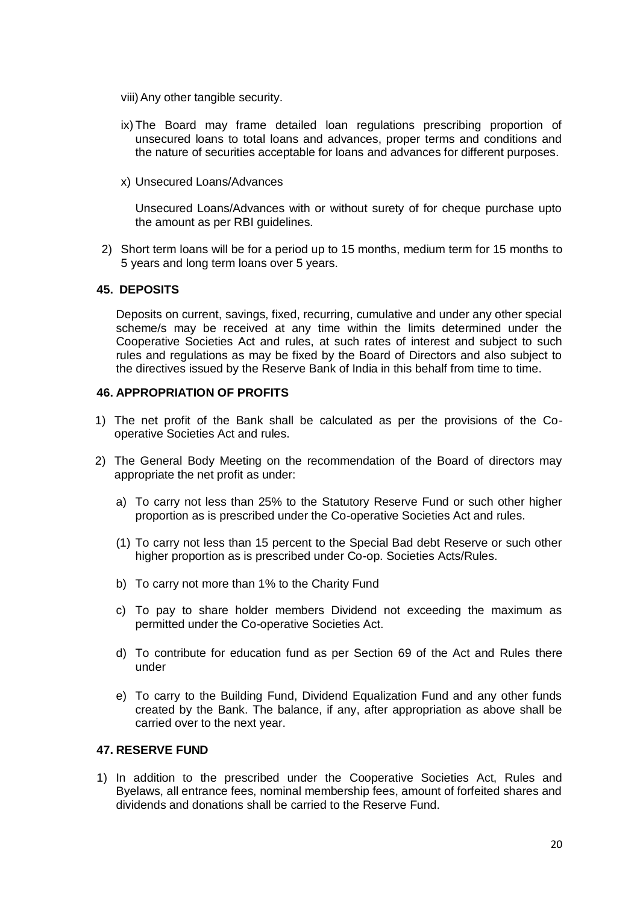- viii)Any other tangible security.
- ix) The Board may frame detailed loan regulations prescribing proportion of unsecured loans to total loans and advances, proper terms and conditions and the nature of securities acceptable for loans and advances for different purposes.
- x) Unsecured Loans/Advances

Unsecured Loans/Advances with or without surety of for cheque purchase upto the amount as per RBI guidelines.

2) Short term loans will be for a period up to 15 months, medium term for 15 months to 5 years and long term loans over 5 years.

## **45. DEPOSITS**

Deposits on current, savings, fixed, recurring, cumulative and under any other special scheme/s may be received at any time within the limits determined under the Cooperative Societies Act and rules, at such rates of interest and subject to such rules and regulations as may be fixed by the Board of Directors and also subject to the directives issued by the Reserve Bank of India in this behalf from time to time.

## **46. APPROPRIATION OF PROFITS**

- 1) The net profit of the Bank shall be calculated as per the provisions of the Cooperative Societies Act and rules.
- 2) The General Body Meeting on the recommendation of the Board of directors may appropriate the net profit as under:
	- a) To carry not less than 25% to the Statutory Reserve Fund or such other higher proportion as is prescribed under the Co-operative Societies Act and rules.
	- (1) To carry not less than 15 percent to the Special Bad debt Reserve or such other higher proportion as is prescribed under Co-op. Societies Acts/Rules.
	- b) To carry not more than 1% to the Charity Fund
	- c) To pay to share holder members Dividend not exceeding the maximum as permitted under the Co-operative Societies Act.
	- d) To contribute for education fund as per Section 69 of the Act and Rules there under
	- e) To carry to the Building Fund, Dividend Equalization Fund and any other funds created by the Bank. The balance, if any, after appropriation as above shall be carried over to the next year.

## **47. RESERVE FUND**

1) In addition to the prescribed under the Cooperative Societies Act, Rules and Byelaws, all entrance fees, nominal membership fees, amount of forfeited shares and dividends and donations shall be carried to the Reserve Fund.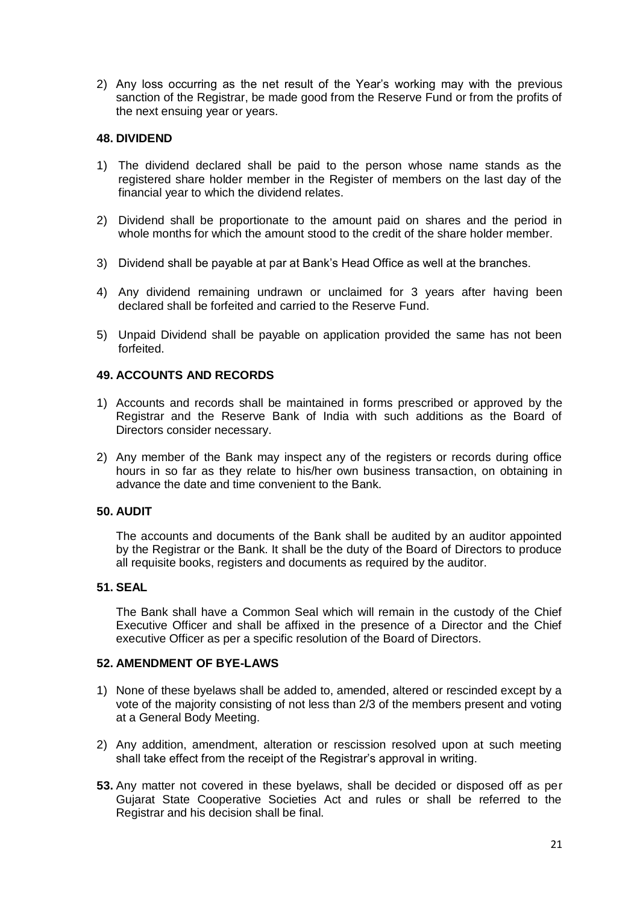2) Any loss occurring as the net result of the Year's working may with the previous sanction of the Registrar, be made good from the Reserve Fund or from the profits of the next ensuing year or years.

## **48. DIVIDEND**

- 1) The dividend declared shall be paid to the person whose name stands as the registered share holder member in the Register of members on the last day of the financial year to which the dividend relates.
- 2) Dividend shall be proportionate to the amount paid on shares and the period in whole months for which the amount stood to the credit of the share holder member.
- 3) Dividend shall be payable at par at Bank's Head Office as well at the branches.
- 4) Any dividend remaining undrawn or unclaimed for 3 years after having been declared shall be forfeited and carried to the Reserve Fund.
- 5) Unpaid Dividend shall be payable on application provided the same has not been forfeited.

## **49. ACCOUNTS AND RECORDS**

- 1) Accounts and records shall be maintained in forms prescribed or approved by the Registrar and the Reserve Bank of India with such additions as the Board of Directors consider necessary.
- 2) Any member of the Bank may inspect any of the registers or records during office hours in so far as they relate to his/her own business transaction, on obtaining in advance the date and time convenient to the Bank.

## **50. AUDIT**

The accounts and documents of the Bank shall be audited by an auditor appointed by the Registrar or the Bank. It shall be the duty of the Board of Directors to produce all requisite books, registers and documents as required by the auditor.

### **51. SEAL**

The Bank shall have a Common Seal which will remain in the custody of the Chief Executive Officer and shall be affixed in the presence of a Director and the Chief executive Officer as per a specific resolution of the Board of Directors.

## **52. AMENDMENT OF BYE-LAWS**

- 1) None of these byelaws shall be added to, amended, altered or rescinded except by a vote of the majority consisting of not less than 2/3 of the members present and voting at a General Body Meeting.
- 2) Any addition, amendment, alteration or rescission resolved upon at such meeting shall take effect from the receipt of the Registrar's approval in writing.
- **53.** Any matter not covered in these byelaws, shall be decided or disposed off as per Gujarat State Cooperative Societies Act and rules or shall be referred to the Registrar and his decision shall be final.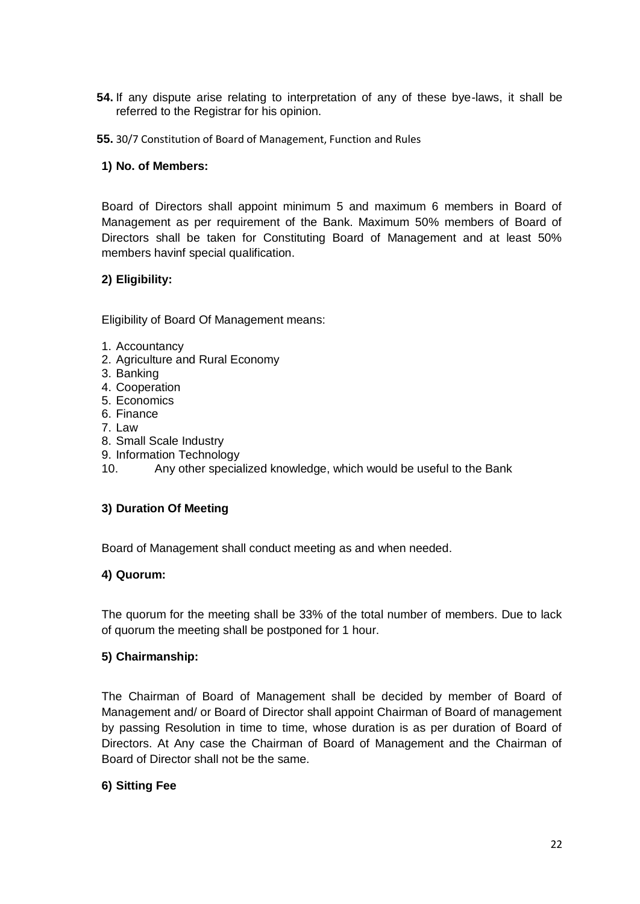- **54.** If any dispute arise relating to interpretation of any of these bye-laws, it shall be referred to the Registrar for his opinion.
- **55.** 30/7 Constitution of Board of Management, Function and Rules

## **1) No. of Members:**

Board of Directors shall appoint minimum 5 and maximum 6 members in Board of Management as per requirement of the Bank. Maximum 50% members of Board of Directors shall be taken for Constituting Board of Management and at least 50% members havinf special qualification.

# **2) Eligibility:**

Eligibility of Board Of Management means:

- 1. Accountancy
- 2. Agriculture and Rural Economy
- 3. Banking
- 4. Cooperation
- 5. Economics
- 6. Finance
- 7. Law
- 8. Small Scale Industry
- 9. Information Technology
- 10. Any other specialized knowledge, which would be useful to the Bank

## **3) Duration Of Meeting**

Board of Management shall conduct meeting as and when needed.

## **4) Quorum:**

The quorum for the meeting shall be 33% of the total number of members. Due to lack of quorum the meeting shall be postponed for 1 hour.

## **5) Chairmanship:**

The Chairman of Board of Management shall be decided by member of Board of Management and/ or Board of Director shall appoint Chairman of Board of management by passing Resolution in time to time, whose duration is as per duration of Board of Directors. At Any case the Chairman of Board of Management and the Chairman of Board of Director shall not be the same.

## **6) Sitting Fee**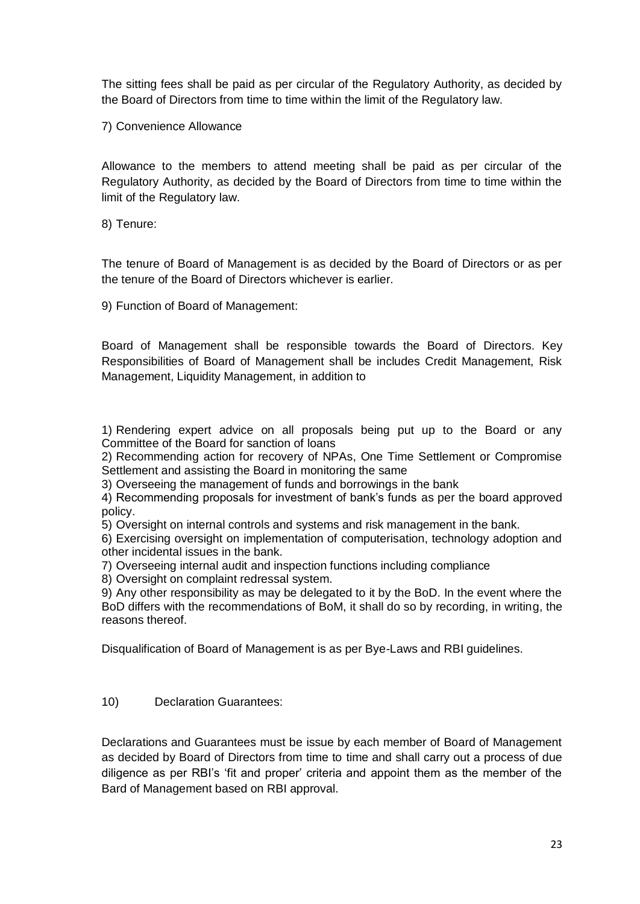The sitting fees shall be paid as per circular of the Regulatory Authority, as decided by the Board of Directors from time to time within the limit of the Regulatory law.

7) Convenience Allowance

Allowance to the members to attend meeting shall be paid as per circular of the Regulatory Authority, as decided by the Board of Directors from time to time within the limit of the Regulatory law.

8) Tenure:

The tenure of Board of Management is as decided by the Board of Directors or as per the tenure of the Board of Directors whichever is earlier.

9) Function of Board of Management:

Board of Management shall be responsible towards the Board of Directors. Key Responsibilities of Board of Management shall be includes Credit Management, Risk Management, Liquidity Management, in addition to

1) Rendering expert advice on all proposals being put up to the Board or any Committee of the Board for sanction of loans

2) Recommending action for recovery of NPAs, One Time Settlement or Compromise Settlement and assisting the Board in monitoring the same

3) Overseeing the management of funds and borrowings in the bank

4) Recommending proposals for investment of bank's funds as per the board approved policy.

5) Oversight on internal controls and systems and risk management in the bank.

6) Exercising oversight on implementation of computerisation, technology adoption and other incidental issues in the bank.

7) Overseeing internal audit and inspection functions including compliance

8) Oversight on complaint redressal system.

9) Any other responsibility as may be delegated to it by the BoD. In the event where the BoD differs with the recommendations of BoM, it shall do so by recording, in writing, the reasons thereof.

Disqualification of Board of Management is as per Bye-Laws and RBI guidelines.

10) Declaration Guarantees:

Declarations and Guarantees must be issue by each member of Board of Management as decided by Board of Directors from time to time and shall carry out a process of due diligence as per RBI's 'fit and proper' criteria and appoint them as the member of the Bard of Management based on RBI approval.